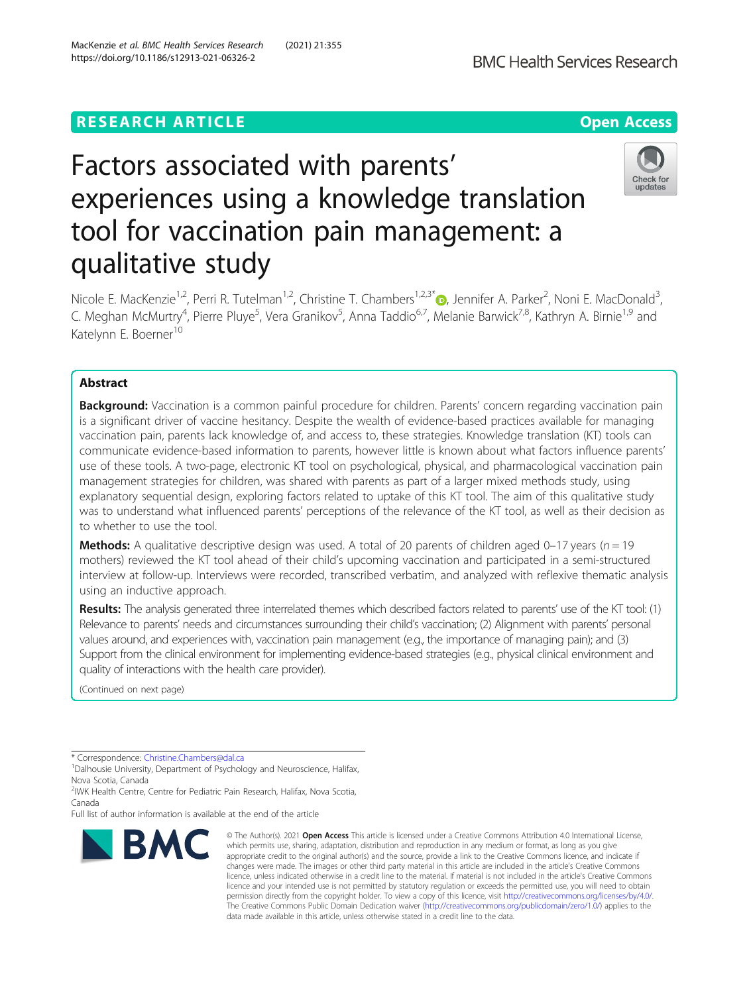# **RESEARCH ARTICLE Example 2014 12:30 The Contract of Contract ACCESS**



# Factors associated with parents' experiences using a knowledge translation tool for vaccination pain management: a qualitative study



Nicole E. MacKenzie<sup>1,2</sup>, Perri R. Tutelman<sup>1,2</sup>, Christine T. Chambers<sup>1,2,3\*</sup> , Jennifer A. Parker<sup>2</sup>, Noni E. MacDonald<sup>3</sup> , C. Meghan McMurtry<sup>4</sup>, Pierre Pluye<sup>5</sup>, Vera Granikov<sup>5</sup>, Anna Taddio<sup>6,7</sup>, Melanie Barwick<sup>7,8</sup>, Kathryn A. Birnie<sup>1,9</sup> and Katelynn E. Boerner<sup>10</sup>

# Abstract

Background: Vaccination is a common painful procedure for children. Parents' concern regarding vaccination pain is a significant driver of vaccine hesitancy. Despite the wealth of evidence-based practices available for managing vaccination pain, parents lack knowledge of, and access to, these strategies. Knowledge translation (KT) tools can communicate evidence-based information to parents, however little is known about what factors influence parents' use of these tools. A two-page, electronic KT tool on psychological, physical, and pharmacological vaccination pain management strategies for children, was shared with parents as part of a larger mixed methods study, using explanatory sequential design, exploring factors related to uptake of this KT tool. The aim of this qualitative study was to understand what influenced parents' perceptions of the relevance of the KT tool, as well as their decision as to whether to use the tool.

**Methods:** A qualitative descriptive design was used. A total of 20 parents of children aged 0–17 years ( $n = 19$ ) mothers) reviewed the KT tool ahead of their child's upcoming vaccination and participated in a semi-structured interview at follow-up. Interviews were recorded, transcribed verbatim, and analyzed with reflexive thematic analysis using an inductive approach.

Results: The analysis generated three interrelated themes which described factors related to parents' use of the KT tool: (1) Relevance to parents' needs and circumstances surrounding their child's vaccination; (2) Alignment with parents' personal values around, and experiences with, vaccination pain management (e.g., the importance of managing pain); and (3) Support from the clinical environment for implementing evidence-based strategies (e.g., physical clinical environment and quality of interactions with the health care provider).

(Continued on next page)

\* Correspondence: [Christine.Chambers@dal.ca](mailto:Christine.Chambers@dal.ca) <sup>1</sup>

<sup>1</sup>Dalhousie University, Department of Psychology and Neuroscience, Halifax, Nova Scotia, Canada

2 IWK Health Centre, Centre for Pediatric Pain Research, Halifax, Nova Scotia, Canada

Full list of author information is available at the end of the article



<sup>©</sup> The Author(s), 2021 **Open Access** This article is licensed under a Creative Commons Attribution 4.0 International License, which permits use, sharing, adaptation, distribution and reproduction in any medium or format, as long as you give appropriate credit to the original author(s) and the source, provide a link to the Creative Commons licence, and indicate if changes were made. The images or other third party material in this article are included in the article's Creative Commons licence, unless indicated otherwise in a credit line to the material. If material is not included in the article's Creative Commons licence and your intended use is not permitted by statutory regulation or exceeds the permitted use, you will need to obtain permission directly from the copyright holder. To view a copy of this licence, visit [http://creativecommons.org/licenses/by/4.0/.](http://creativecommons.org/licenses/by/4.0/) The Creative Commons Public Domain Dedication waiver [\(http://creativecommons.org/publicdomain/zero/1.0/](http://creativecommons.org/publicdomain/zero/1.0/)) applies to the data made available in this article, unless otherwise stated in a credit line to the data.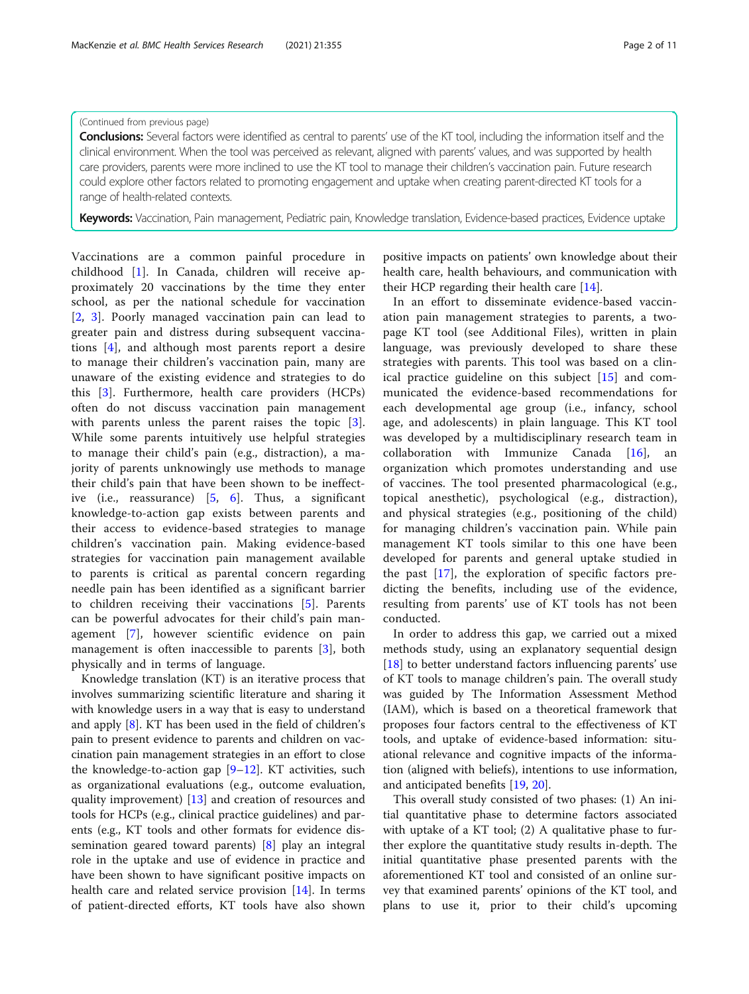# (Continued from previous page)

Conclusions: Several factors were identified as central to parents' use of the KT tool, including the information itself and the clinical environment. When the tool was perceived as relevant, aligned with parents' values, and was supported by health care providers, parents were more inclined to use the KT tool to manage their children's vaccination pain. Future research could explore other factors related to promoting engagement and uptake when creating parent-directed KT tools for a range of health-related contexts.

Keywords: Vaccination, Pain management, Pediatric pain, Knowledge translation, Evidence-based practices, Evidence uptake

Vaccinations are a common painful procedure in childhood [[1\]](#page-9-0). In Canada, children will receive approximately 20 vaccinations by the time they enter school, as per the national schedule for vaccination [[2,](#page-9-0) [3\]](#page-9-0). Poorly managed vaccination pain can lead to greater pain and distress during subsequent vaccinations [[4\]](#page-9-0), and although most parents report a desire to manage their children's vaccination pain, many are unaware of the existing evidence and strategies to do this [\[3](#page-9-0)]. Furthermore, health care providers (HCPs) often do not discuss vaccination pain management with parents unless the parent raises the topic [\[3](#page-9-0)]. While some parents intuitively use helpful strategies to manage their child's pain (e.g., distraction), a majority of parents unknowingly use methods to manage their child's pain that have been shown to be ineffective (i.e., reassurance) [[5](#page-9-0), [6\]](#page-9-0). Thus, a significant knowledge-to-action gap exists between parents and their access to evidence-based strategies to manage children's vaccination pain. Making evidence-based strategies for vaccination pain management available to parents is critical as parental concern regarding needle pain has been identified as a significant barrier to children receiving their vaccinations [[5\]](#page-9-0). Parents can be powerful advocates for their child's pain management [\[7](#page-9-0)], however scientific evidence on pain management is often inaccessible to parents [[3\]](#page-9-0), both physically and in terms of language.

Knowledge translation (KT) is an iterative process that involves summarizing scientific literature and sharing it with knowledge users in a way that is easy to understand and apply [[8\]](#page-9-0). KT has been used in the field of children's pain to present evidence to parents and children on vaccination pain management strategies in an effort to close the knowledge-to-action gap [\[9](#page-9-0)–[12\]](#page-9-0). KT activities, such as organizational evaluations (e.g., outcome evaluation, quality improvement) [[13\]](#page-9-0) and creation of resources and tools for HCPs (e.g., clinical practice guidelines) and parents (e.g., KT tools and other formats for evidence dissemination geared toward parents) [[8](#page-9-0)] play an integral role in the uptake and use of evidence in practice and have been shown to have significant positive impacts on health care and related service provision [\[14](#page-9-0)]. In terms of patient-directed efforts, KT tools have also shown positive impacts on patients' own knowledge about their health care, health behaviours, and communication with their HCP regarding their health care [\[14](#page-9-0)].

In an effort to disseminate evidence-based vaccination pain management strategies to parents, a twopage KT tool (see Additional Files), written in plain language, was previously developed to share these strategies with parents. This tool was based on a clinical practice guideline on this subject [\[15](#page-9-0)] and communicated the evidence-based recommendations for each developmental age group (i.e., infancy, school age, and adolescents) in plain language. This KT tool was developed by a multidisciplinary research team in collaboration with Immunize Canada  $[16]$  $[16]$ , organization which promotes understanding and use of vaccines. The tool presented pharmacological (e.g., topical anesthetic), psychological (e.g., distraction), and physical strategies (e.g., positioning of the child) for managing children's vaccination pain. While pain management KT tools similar to this one have been developed for parents and general uptake studied in the past [\[17](#page-9-0)], the exploration of specific factors predicting the benefits, including use of the evidence, resulting from parents' use of KT tools has not been conducted.

In order to address this gap, we carried out a mixed methods study, using an explanatory sequential design [[18\]](#page-9-0) to better understand factors influencing parents' use of KT tools to manage children's pain. The overall study was guided by The Information Assessment Method (IAM), which is based on a theoretical framework that proposes four factors central to the effectiveness of KT tools, and uptake of evidence-based information: situational relevance and cognitive impacts of the information (aligned with beliefs), intentions to use information, and anticipated benefits [\[19](#page-10-0), [20](#page-10-0)].

This overall study consisted of two phases: (1) An initial quantitative phase to determine factors associated with uptake of a KT tool; (2) A qualitative phase to further explore the quantitative study results in-depth. The initial quantitative phase presented parents with the aforementioned KT tool and consisted of an online survey that examined parents' opinions of the KT tool, and plans to use it, prior to their child's upcoming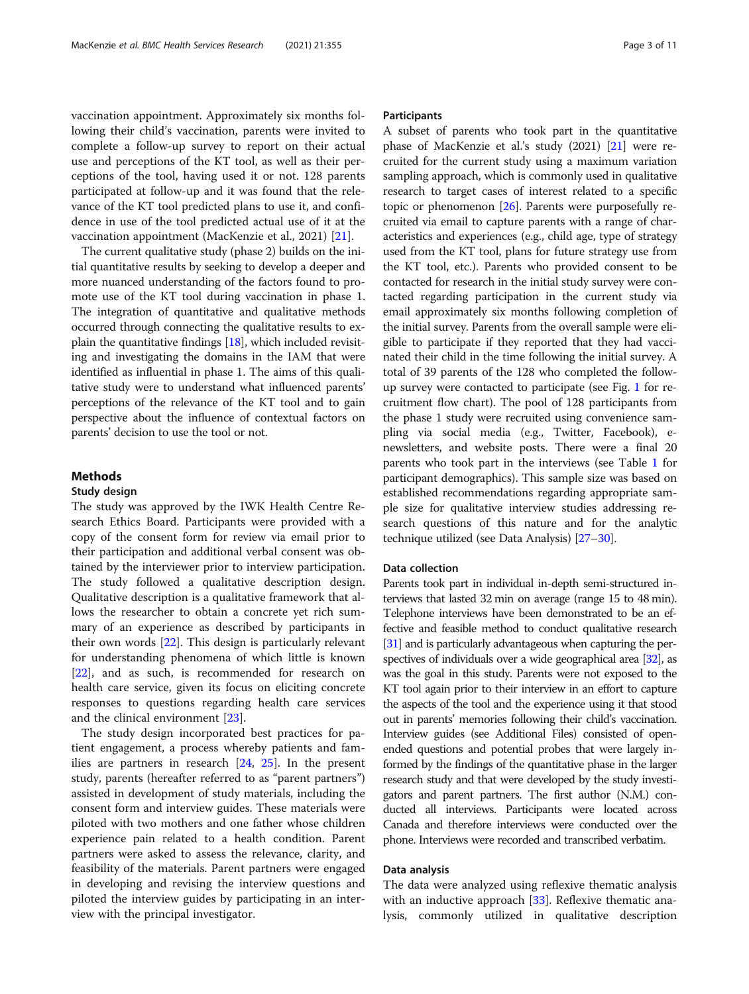vaccination appointment. Approximately six months following their child's vaccination, parents were invited to complete a follow-up survey to report on their actual use and perceptions of the KT tool, as well as their perceptions of the tool, having used it or not. 128 parents participated at follow-up and it was found that the relevance of the KT tool predicted plans to use it, and confidence in use of the tool predicted actual use of it at the vaccination appointment (MacKenzie et al., 2021) [\[21](#page-10-0)].

The current qualitative study (phase 2) builds on the initial quantitative results by seeking to develop a deeper and more nuanced understanding of the factors found to promote use of the KT tool during vaccination in phase 1. The integration of quantitative and qualitative methods occurred through connecting the qualitative results to explain the quantitative findings [[18](#page-9-0)], which included revisiting and investigating the domains in the IAM that were identified as influential in phase 1. The aims of this qualitative study were to understand what influenced parents' perceptions of the relevance of the KT tool and to gain perspective about the influence of contextual factors on parents' decision to use the tool or not.

# Methods

#### Study design

The study was approved by the IWK Health Centre Research Ethics Board. Participants were provided with a copy of the consent form for review via email prior to their participation and additional verbal consent was obtained by the interviewer prior to interview participation. The study followed a qualitative description design. Qualitative description is a qualitative framework that allows the researcher to obtain a concrete yet rich summary of an experience as described by participants in their own words [\[22](#page-10-0)]. This design is particularly relevant for understanding phenomena of which little is known [[22\]](#page-10-0), and as such, is recommended for research on health care service, given its focus on eliciting concrete responses to questions regarding health care services and the clinical environment [[23](#page-10-0)].

The study design incorporated best practices for patient engagement, a process whereby patients and families are partners in research  $[24, 25]$  $[24, 25]$  $[24, 25]$  $[24, 25]$ . In the present study, parents (hereafter referred to as "parent partners") assisted in development of study materials, including the consent form and interview guides. These materials were piloted with two mothers and one father whose children experience pain related to a health condition. Parent partners were asked to assess the relevance, clarity, and feasibility of the materials. Parent partners were engaged in developing and revising the interview questions and piloted the interview guides by participating in an interview with the principal investigator.

#### Participants

A subset of parents who took part in the quantitative phase of MacKenzie et al.'s study (2021) [[21](#page-10-0)] were recruited for the current study using a maximum variation sampling approach, which is commonly used in qualitative research to target cases of interest related to a specific topic or phenomenon [\[26\]](#page-10-0). Parents were purposefully recruited via email to capture parents with a range of characteristics and experiences (e.g., child age, type of strategy used from the KT tool, plans for future strategy use from the KT tool, etc.). Parents who provided consent to be contacted for research in the initial study survey were contacted regarding participation in the current study via email approximately six months following completion of the initial survey. Parents from the overall sample were eligible to participate if they reported that they had vaccinated their child in the time following the initial survey. A total of 39 parents of the 128 who completed the followup survey were contacted to participate (see Fig. [1](#page-3-0) for recruitment flow chart). The pool of 128 participants from the phase 1 study were recruited using convenience sampling via social media (e.g., Twitter, Facebook), enewsletters, and website posts. There were a final 20 parents who took part in the interviews (see Table [1](#page-4-0) for participant demographics). This sample size was based on established recommendations regarding appropriate sample size for qualitative interview studies addressing research questions of this nature and for the analytic technique utilized (see Data Analysis) [\[27](#page-10-0)–[30](#page-10-0)].

# Data collection

Parents took part in individual in-depth semi-structured interviews that lasted 32 min on average (range 15 to 48 min). Telephone interviews have been demonstrated to be an effective and feasible method to conduct qualitative research [[31\]](#page-10-0) and is particularly advantageous when capturing the per-spectives of individuals over a wide geographical area [\[32](#page-10-0)], as was the goal in this study. Parents were not exposed to the KT tool again prior to their interview in an effort to capture the aspects of the tool and the experience using it that stood out in parents' memories following their child's vaccination. Interview guides (see Additional Files) consisted of openended questions and potential probes that were largely informed by the findings of the quantitative phase in the larger research study and that were developed by the study investigators and parent partners. The first author (N.M.) conducted all interviews. Participants were located across Canada and therefore interviews were conducted over the phone. Interviews were recorded and transcribed verbatim.

#### Data analysis

The data were analyzed using reflexive thematic analysis with an inductive approach [[33\]](#page-10-0). Reflexive thematic analysis, commonly utilized in qualitative description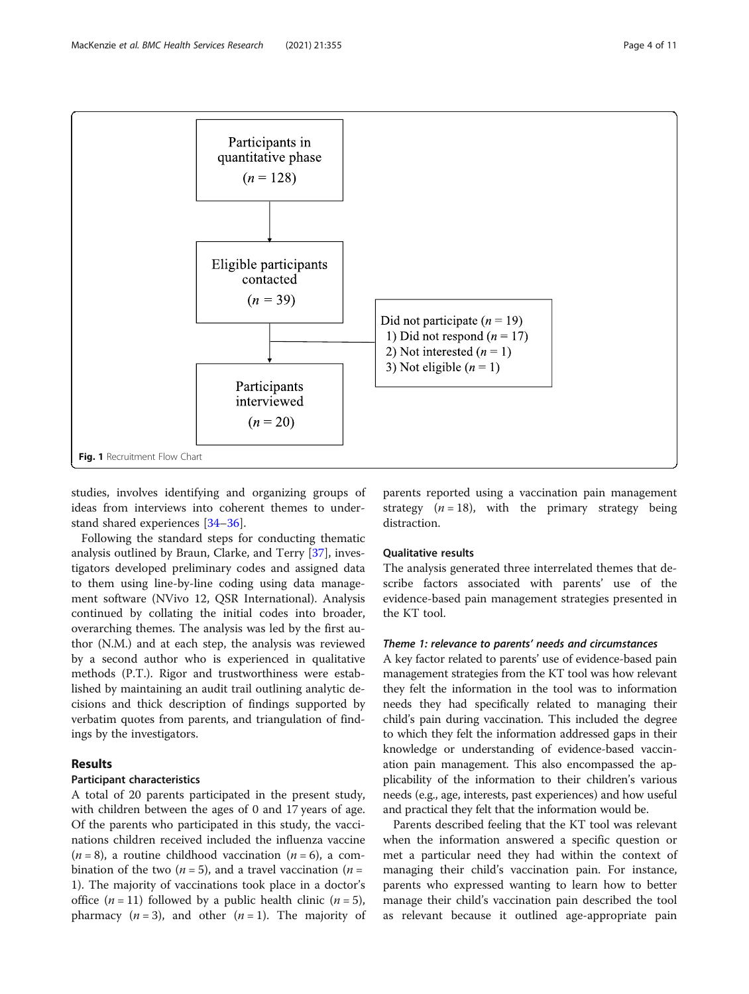<span id="page-3-0"></span>

studies, involves identifying and organizing groups of ideas from interviews into coherent themes to understand shared experiences [[34](#page-10-0)–[36](#page-10-0)].

Following the standard steps for conducting thematic analysis outlined by Braun, Clarke, and Terry [\[37](#page-10-0)], investigators developed preliminary codes and assigned data to them using line-by-line coding using data management software (NVivo 12, QSR International). Analysis continued by collating the initial codes into broader, overarching themes. The analysis was led by the first author (N.M.) and at each step, the analysis was reviewed by a second author who is experienced in qualitative methods (P.T.). Rigor and trustworthiness were established by maintaining an audit trail outlining analytic decisions and thick description of findings supported by verbatim quotes from parents, and triangulation of findings by the investigators.

# Results

# Participant characteristics

A total of 20 parents participated in the present study, with children between the ages of 0 and 17 years of age. Of the parents who participated in this study, the vaccinations children received included the influenza vaccine  $(n = 8)$ , a routine childhood vaccination  $(n = 6)$ , a combination of the two ( $n = 5$ ), and a travel vaccination ( $n =$ 1). The majority of vaccinations took place in a doctor's office  $(n = 11)$  followed by a public health clinic  $(n = 5)$ , pharmacy  $(n = 3)$ , and other  $(n = 1)$ . The majority of parents reported using a vaccination pain management strategy  $(n = 18)$ , with the primary strategy being distraction.

#### Qualitative results

The analysis generated three interrelated themes that describe factors associated with parents' use of the evidence-based pain management strategies presented in the KT tool.

# Theme 1: relevance to parents' needs and circumstances

A key factor related to parents' use of evidence-based pain management strategies from the KT tool was how relevant they felt the information in the tool was to information needs they had specifically related to managing their child's pain during vaccination. This included the degree to which they felt the information addressed gaps in their knowledge or understanding of evidence-based vaccination pain management. This also encompassed the applicability of the information to their children's various needs (e.g., age, interests, past experiences) and how useful and practical they felt that the information would be.

Parents described feeling that the KT tool was relevant when the information answered a specific question or met a particular need they had within the context of managing their child's vaccination pain. For instance, parents who expressed wanting to learn how to better manage their child's vaccination pain described the tool as relevant because it outlined age-appropriate pain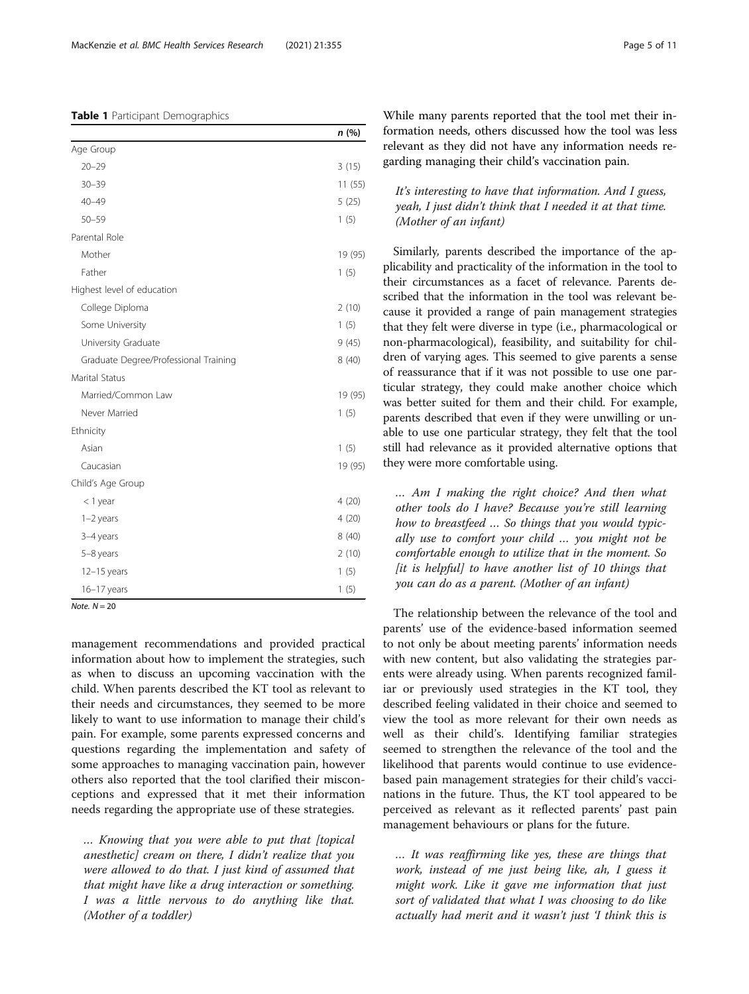#### <span id="page-4-0"></span>Table 1 Participant Demographics

|                                       | n (%)   |
|---------------------------------------|---------|
| Age Group                             |         |
| $20 - 29$                             | 3(15)   |
| $30 - 39$                             | 11(55)  |
| $40 - 49$                             | 5(25)   |
| $50 - 59$                             | 1(5)    |
| Parental Role                         |         |
| Mother                                | 19 (95) |
| Father                                | 1(5)    |
| Highest level of education            |         |
| College Diploma                       | 2(10)   |
| Some University                       | 1(5)    |
| University Graduate                   | 9(45)   |
| Graduate Degree/Professional Training | 8(40)   |
| Marital Status                        |         |
| Married/Common Law                    | 19 (95) |
| Never Married                         | 1(5)    |
| Ethnicity                             |         |
| Asian                                 | 1(5)    |
| Caucasian                             | 19 (95) |
| Child's Age Group                     |         |
| $<$ 1 year                            | 4(20)   |
| $1-2$ years                           | 4(20)   |
| 3-4 years                             | 8(40)   |
| 5-8 years                             | 2(10)   |
| $12-15$ years                         | 1(5)    |
| 16-17 years                           | 1(5)    |

 $Note$   $N = 20$ 

management recommendations and provided practical information about how to implement the strategies, such as when to discuss an upcoming vaccination with the child. When parents described the KT tool as relevant to their needs and circumstances, they seemed to be more likely to want to use information to manage their child's pain. For example, some parents expressed concerns and questions regarding the implementation and safety of some approaches to managing vaccination pain, however others also reported that the tool clarified their misconceptions and expressed that it met their information needs regarding the appropriate use of these strategies.

… Knowing that you were able to put that [topical anesthetic] cream on there, I didn't realize that you were allowed to do that. I just kind of assumed that that might have like a drug interaction or something. I was a little nervous to do anything like that. (Mother of a toddler)

While many parents reported that the tool met their information needs, others discussed how the tool was less relevant as they did not have any information needs regarding managing their child's vaccination pain.

# It's interesting to have that information. And I guess, yeah, I just didn't think that I needed it at that time. (Mother of an infant)

Similarly, parents described the importance of the applicability and practicality of the information in the tool to their circumstances as a facet of relevance. Parents described that the information in the tool was relevant because it provided a range of pain management strategies that they felt were diverse in type (i.e., pharmacological or non-pharmacological), feasibility, and suitability for children of varying ages. This seemed to give parents a sense of reassurance that if it was not possible to use one particular strategy, they could make another choice which was better suited for them and their child. For example, parents described that even if they were unwilling or unable to use one particular strategy, they felt that the tool still had relevance as it provided alternative options that they were more comfortable using.

… Am I making the right choice? And then what other tools do I have? Because you're still learning how to breastfeed … So things that you would typically use to comfort your child … you might not be comfortable enough to utilize that in the moment. So  $[$ it is helpful $]$  to have another list of 10 things that you can do as a parent. (Mother of an infant)

The relationship between the relevance of the tool and parents' use of the evidence-based information seemed to not only be about meeting parents' information needs with new content, but also validating the strategies parents were already using. When parents recognized familiar or previously used strategies in the KT tool, they described feeling validated in their choice and seemed to view the tool as more relevant for their own needs as well as their child's. Identifying familiar strategies seemed to strengthen the relevance of the tool and the likelihood that parents would continue to use evidencebased pain management strategies for their child's vaccinations in the future. Thus, the KT tool appeared to be perceived as relevant as it reflected parents' past pain management behaviours or plans for the future.

… It was reaffirming like yes, these are things that work, instead of me just being like, ah, I guess it might work. Like it gave me information that just sort of validated that what I was choosing to do like actually had merit and it wasn't just 'I think this is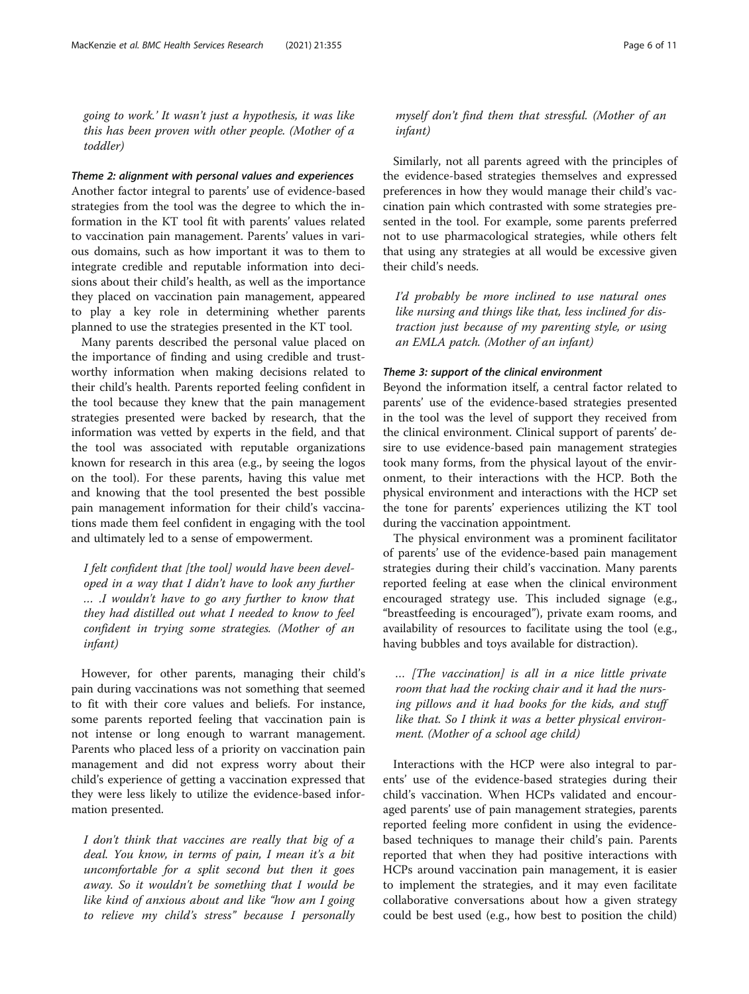going to work.' It wasn't just a hypothesis, it was like this has been proven with other people. (Mother of a toddler)

#### Theme 2: alignment with personal values and experiences

Another factor integral to parents' use of evidence-based strategies from the tool was the degree to which the information in the KT tool fit with parents' values related to vaccination pain management. Parents' values in various domains, such as how important it was to them to integrate credible and reputable information into decisions about their child's health, as well as the importance they placed on vaccination pain management, appeared to play a key role in determining whether parents planned to use the strategies presented in the KT tool.

Many parents described the personal value placed on the importance of finding and using credible and trustworthy information when making decisions related to their child's health. Parents reported feeling confident in the tool because they knew that the pain management strategies presented were backed by research, that the information was vetted by experts in the field, and that the tool was associated with reputable organizations known for research in this area (e.g., by seeing the logos on the tool). For these parents, having this value met and knowing that the tool presented the best possible pain management information for their child's vaccinations made them feel confident in engaging with the tool and ultimately led to a sense of empowerment.

I felt confident that [the tool] would have been developed in a way that I didn't have to look any further … .I wouldn't have to go any further to know that they had distilled out what I needed to know to feel confident in trying some strategies. (Mother of an infant)

However, for other parents, managing their child's pain during vaccinations was not something that seemed to fit with their core values and beliefs. For instance, some parents reported feeling that vaccination pain is not intense or long enough to warrant management. Parents who placed less of a priority on vaccination pain management and did not express worry about their child's experience of getting a vaccination expressed that they were less likely to utilize the evidence-based information presented.

I don't think that vaccines are really that big of a deal. You know, in terms of pain, I mean it's a bit uncomfortable for a split second but then it goes away. So it wouldn't be something that I would be like kind of anxious about and like "how am I going to relieve my child's stress" because I personally

# myself don't find them that stressful. (Mother of an infant)

Similarly, not all parents agreed with the principles of the evidence-based strategies themselves and expressed preferences in how they would manage their child's vaccination pain which contrasted with some strategies presented in the tool. For example, some parents preferred not to use pharmacological strategies, while others felt that using any strategies at all would be excessive given their child's needs.

I'd probably be more inclined to use natural ones like nursing and things like that, less inclined for distraction just because of my parenting style, or using an EMLA patch. (Mother of an infant)

#### Theme 3: support of the clinical environment

Beyond the information itself, a central factor related to parents' use of the evidence-based strategies presented in the tool was the level of support they received from the clinical environment. Clinical support of parents' desire to use evidence-based pain management strategies took many forms, from the physical layout of the environment, to their interactions with the HCP. Both the physical environment and interactions with the HCP set the tone for parents' experiences utilizing the KT tool during the vaccination appointment.

The physical environment was a prominent facilitator of parents' use of the evidence-based pain management strategies during their child's vaccination. Many parents reported feeling at ease when the clinical environment encouraged strategy use. This included signage (e.g., "breastfeeding is encouraged"), private exam rooms, and availability of resources to facilitate using the tool (e.g., having bubbles and toys available for distraction).

… [The vaccination] is all in a nice little private room that had the rocking chair and it had the nursing pillows and it had books for the kids, and stuff like that. So I think it was a better physical environment. (Mother of a school age child)

Interactions with the HCP were also integral to parents' use of the evidence-based strategies during their child's vaccination. When HCPs validated and encouraged parents' use of pain management strategies, parents reported feeling more confident in using the evidencebased techniques to manage their child's pain. Parents reported that when they had positive interactions with HCPs around vaccination pain management, it is easier to implement the strategies, and it may even facilitate collaborative conversations about how a given strategy could be best used (e.g., how best to position the child)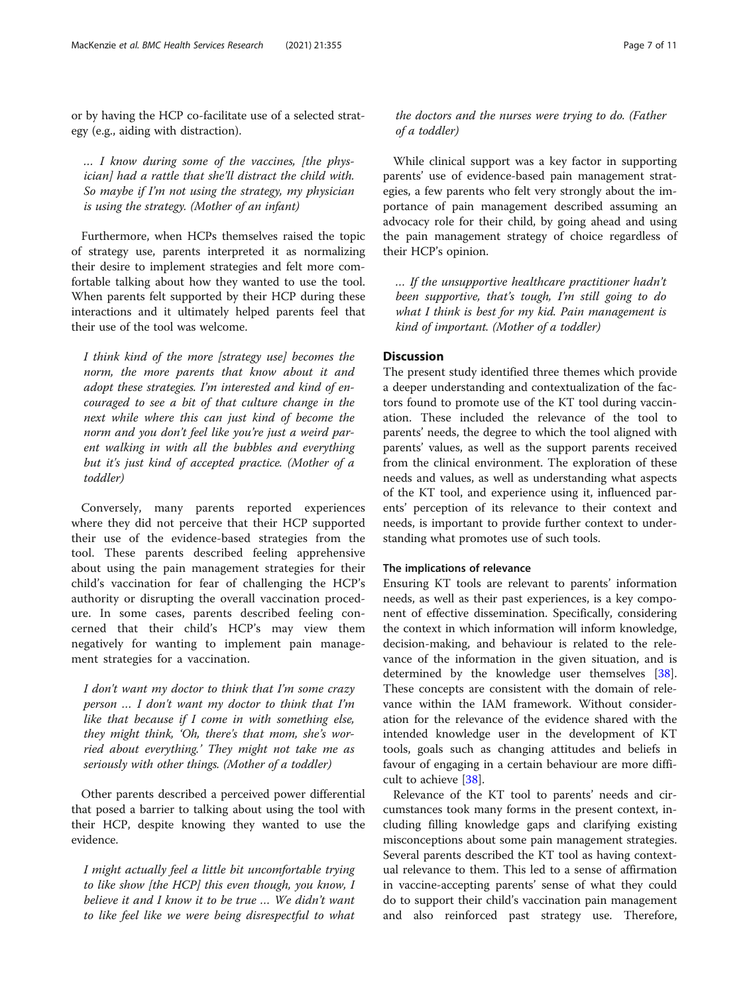or by having the HCP co-facilitate use of a selected strategy (e.g., aiding with distraction).

… I know during some of the vaccines, [the physician] had a rattle that she'll distract the child with. So maybe if I'm not using the strategy, my physician is using the strategy. (Mother of an infant)

Furthermore, when HCPs themselves raised the topic of strategy use, parents interpreted it as normalizing their desire to implement strategies and felt more comfortable talking about how they wanted to use the tool. When parents felt supported by their HCP during these interactions and it ultimately helped parents feel that their use of the tool was welcome.

I think kind of the more [strategy use] becomes the norm, the more parents that know about it and adopt these strategies. I'm interested and kind of encouraged to see a bit of that culture change in the next while where this can just kind of become the norm and you don't feel like you're just a weird parent walking in with all the bubbles and everything but it's just kind of accepted practice. (Mother of a toddler)

Conversely, many parents reported experiences where they did not perceive that their HCP supported their use of the evidence-based strategies from the tool. These parents described feeling apprehensive about using the pain management strategies for their child's vaccination for fear of challenging the HCP's authority or disrupting the overall vaccination procedure. In some cases, parents described feeling concerned that their child's HCP's may view them negatively for wanting to implement pain management strategies for a vaccination.

I don't want my doctor to think that I'm some crazy person … I don't want my doctor to think that I'm like that because if I come in with something else, they might think, 'Oh, there's that mom, she's worried about everything.' They might not take me as seriously with other things. (Mother of a toddler)

Other parents described a perceived power differential that posed a barrier to talking about using the tool with their HCP, despite knowing they wanted to use the evidence.

I might actually feel a little bit uncomfortable trying to like show [the HCP] this even though, you know, I believe it and I know it to be true … We didn't want to like feel like we were being disrespectful to what

While clinical support was a key factor in supporting parents' use of evidence-based pain management strategies, a few parents who felt very strongly about the importance of pain management described assuming an advocacy role for their child, by going ahead and using the pain management strategy of choice regardless of their HCP's opinion.

… If the unsupportive healthcare practitioner hadn't been supportive, that's tough, I'm still going to do what I think is best for my kid. Pain management is kind of important. (Mother of a toddler)

# **Discussion**

The present study identified three themes which provide a deeper understanding and contextualization of the factors found to promote use of the KT tool during vaccination. These included the relevance of the tool to parents' needs, the degree to which the tool aligned with parents' values, as well as the support parents received from the clinical environment. The exploration of these needs and values, as well as understanding what aspects of the KT tool, and experience using it, influenced parents' perception of its relevance to their context and needs, is important to provide further context to understanding what promotes use of such tools.

# The implications of relevance

Ensuring KT tools are relevant to parents' information needs, as well as their past experiences, is a key component of effective dissemination. Specifically, considering the context in which information will inform knowledge, decision-making, and behaviour is related to the relevance of the information in the given situation, and is determined by the knowledge user themselves [\[38](#page-10-0)]. These concepts are consistent with the domain of relevance within the IAM framework. Without consideration for the relevance of the evidence shared with the intended knowledge user in the development of KT tools, goals such as changing attitudes and beliefs in favour of engaging in a certain behaviour are more difficult to achieve [\[38](#page-10-0)].

Relevance of the KT tool to parents' needs and circumstances took many forms in the present context, including filling knowledge gaps and clarifying existing misconceptions about some pain management strategies. Several parents described the KT tool as having contextual relevance to them. This led to a sense of affirmation in vaccine-accepting parents' sense of what they could do to support their child's vaccination pain management and also reinforced past strategy use. Therefore,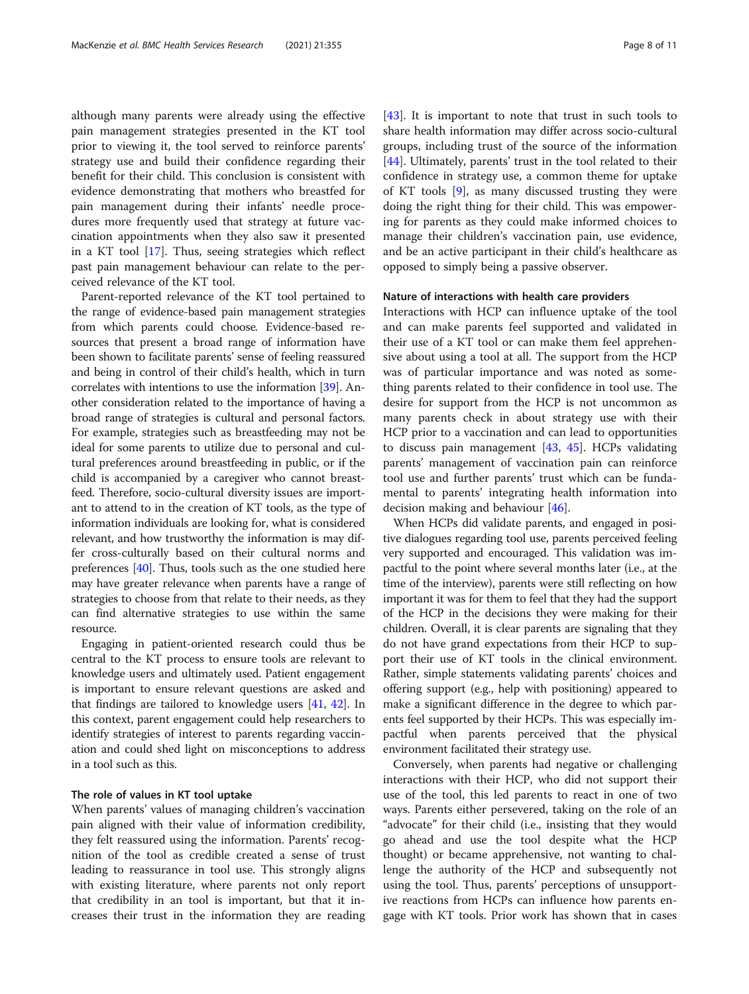although many parents were already using the effective pain management strategies presented in the KT tool prior to viewing it, the tool served to reinforce parents' strategy use and build their confidence regarding their benefit for their child. This conclusion is consistent with evidence demonstrating that mothers who breastfed for pain management during their infants' needle procedures more frequently used that strategy at future vaccination appointments when they also saw it presented in a KT tool [\[17\]](#page-9-0). Thus, seeing strategies which reflect past pain management behaviour can relate to the perceived relevance of the KT tool.

Parent-reported relevance of the KT tool pertained to the range of evidence-based pain management strategies from which parents could choose. Evidence-based resources that present a broad range of information have been shown to facilitate parents' sense of feeling reassured and being in control of their child's health, which in turn correlates with intentions to use the information [\[39\]](#page-10-0). Another consideration related to the importance of having a broad range of strategies is cultural and personal factors. For example, strategies such as breastfeeding may not be ideal for some parents to utilize due to personal and cultural preferences around breastfeeding in public, or if the child is accompanied by a caregiver who cannot breastfeed. Therefore, socio-cultural diversity issues are important to attend to in the creation of KT tools, as the type of information individuals are looking for, what is considered relevant, and how trustworthy the information is may differ cross-culturally based on their cultural norms and preferences [[40](#page-10-0)]. Thus, tools such as the one studied here may have greater relevance when parents have a range of strategies to choose from that relate to their needs, as they can find alternative strategies to use within the same resource.

Engaging in patient-oriented research could thus be central to the KT process to ensure tools are relevant to knowledge users and ultimately used. Patient engagement is important to ensure relevant questions are asked and that findings are tailored to knowledge users [[41](#page-10-0), [42\]](#page-10-0). In this context, parent engagement could help researchers to identify strategies of interest to parents regarding vaccination and could shed light on misconceptions to address in a tool such as this.

# The role of values in KT tool uptake

When parents' values of managing children's vaccination pain aligned with their value of information credibility, they felt reassured using the information. Parents' recognition of the tool as credible created a sense of trust leading to reassurance in tool use. This strongly aligns with existing literature, where parents not only report that credibility in an tool is important, but that it increases their trust in the information they are reading [[43\]](#page-10-0). It is important to note that trust in such tools to share health information may differ across socio-cultural groups, including trust of the source of the information [[44\]](#page-10-0). Ultimately, parents' trust in the tool related to their confidence in strategy use, a common theme for uptake of KT tools [[9\]](#page-9-0), as many discussed trusting they were doing the right thing for their child. This was empowering for parents as they could make informed choices to manage their children's vaccination pain, use evidence, and be an active participant in their child's healthcare as opposed to simply being a passive observer.

#### Nature of interactions with health care providers

Interactions with HCP can influence uptake of the tool and can make parents feel supported and validated in their use of a KT tool or can make them feel apprehensive about using a tool at all. The support from the HCP was of particular importance and was noted as something parents related to their confidence in tool use. The desire for support from the HCP is not uncommon as many parents check in about strategy use with their HCP prior to a vaccination and can lead to opportunities to discuss pain management [\[43](#page-10-0), [45\]](#page-10-0). HCPs validating parents' management of vaccination pain can reinforce tool use and further parents' trust which can be fundamental to parents' integrating health information into decision making and behaviour [[46](#page-10-0)].

When HCPs did validate parents, and engaged in positive dialogues regarding tool use, parents perceived feeling very supported and encouraged. This validation was impactful to the point where several months later (i.e., at the time of the interview), parents were still reflecting on how important it was for them to feel that they had the support of the HCP in the decisions they were making for their children. Overall, it is clear parents are signaling that they do not have grand expectations from their HCP to support their use of KT tools in the clinical environment. Rather, simple statements validating parents' choices and offering support (e.g., help with positioning) appeared to make a significant difference in the degree to which parents feel supported by their HCPs. This was especially impactful when parents perceived that the physical environment facilitated their strategy use.

Conversely, when parents had negative or challenging interactions with their HCP, who did not support their use of the tool, this led parents to react in one of two ways. Parents either persevered, taking on the role of an "advocate" for their child (i.e., insisting that they would go ahead and use the tool despite what the HCP thought) or became apprehensive, not wanting to challenge the authority of the HCP and subsequently not using the tool. Thus, parents' perceptions of unsupportive reactions from HCPs can influence how parents engage with KT tools. Prior work has shown that in cases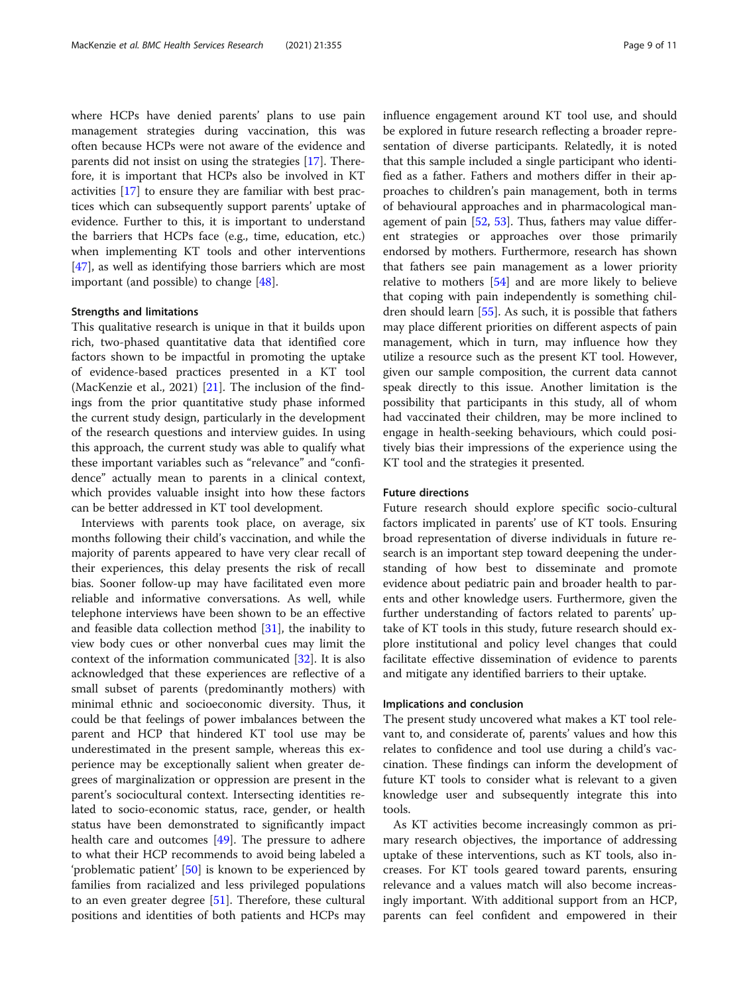where HCPs have denied parents' plans to use pain management strategies during vaccination, this was often because HCPs were not aware of the evidence and parents did not insist on using the strategies [[17](#page-9-0)]. Therefore, it is important that HCPs also be involved in KT activities [[17\]](#page-9-0) to ensure they are familiar with best practices which can subsequently support parents' uptake of evidence. Further to this, it is important to understand the barriers that HCPs face (e.g., time, education, etc.) when implementing KT tools and other interventions [[47\]](#page-10-0), as well as identifying those barriers which are most important (and possible) to change [\[48](#page-10-0)].

### Strengths and limitations

This qualitative research is unique in that it builds upon rich, two-phased quantitative data that identified core factors shown to be impactful in promoting the uptake of evidence-based practices presented in a KT tool (MacKenzie et al., 2021)  $[21]$ . The inclusion of the findings from the prior quantitative study phase informed the current study design, particularly in the development of the research questions and interview guides. In using this approach, the current study was able to qualify what these important variables such as "relevance" and "confidence" actually mean to parents in a clinical context, which provides valuable insight into how these factors can be better addressed in KT tool development.

Interviews with parents took place, on average, six months following their child's vaccination, and while the majority of parents appeared to have very clear recall of their experiences, this delay presents the risk of recall bias. Sooner follow-up may have facilitated even more reliable and informative conversations. As well, while telephone interviews have been shown to be an effective and feasible data collection method [[31\]](#page-10-0), the inability to view body cues or other nonverbal cues may limit the context of the information communicated [[32\]](#page-10-0). It is also acknowledged that these experiences are reflective of a small subset of parents (predominantly mothers) with minimal ethnic and socioeconomic diversity. Thus, it could be that feelings of power imbalances between the parent and HCP that hindered KT tool use may be underestimated in the present sample, whereas this experience may be exceptionally salient when greater degrees of marginalization or oppression are present in the parent's sociocultural context. Intersecting identities related to socio-economic status, race, gender, or health status have been demonstrated to significantly impact health care and outcomes  $[49]$  $[49]$ . The pressure to adhere to what their HCP recommends to avoid being labeled a 'problematic patient' [\[50](#page-10-0)] is known to be experienced by families from racialized and less privileged populations to an even greater degree [[51\]](#page-10-0). Therefore, these cultural positions and identities of both patients and HCPs may influence engagement around KT tool use, and should be explored in future research reflecting a broader representation of diverse participants. Relatedly, it is noted that this sample included a single participant who identified as a father. Fathers and mothers differ in their approaches to children's pain management, both in terms of behavioural approaches and in pharmacological management of pain  $[52, 53]$  $[52, 53]$  $[52, 53]$  $[52, 53]$ . Thus, fathers may value different strategies or approaches over those primarily endorsed by mothers. Furthermore, research has shown that fathers see pain management as a lower priority relative to mothers [[54\]](#page-10-0) and are more likely to believe that coping with pain independently is something children should learn [\[55\]](#page-10-0). As such, it is possible that fathers may place different priorities on different aspects of pain management, which in turn, may influence how they utilize a resource such as the present KT tool. However, given our sample composition, the current data cannot speak directly to this issue. Another limitation is the possibility that participants in this study, all of whom had vaccinated their children, may be more inclined to engage in health-seeking behaviours, which could positively bias their impressions of the experience using the KT tool and the strategies it presented.

#### Future directions

Future research should explore specific socio-cultural factors implicated in parents' use of KT tools. Ensuring broad representation of diverse individuals in future research is an important step toward deepening the understanding of how best to disseminate and promote evidence about pediatric pain and broader health to parents and other knowledge users. Furthermore, given the further understanding of factors related to parents' uptake of KT tools in this study, future research should explore institutional and policy level changes that could facilitate effective dissemination of evidence to parents and mitigate any identified barriers to their uptake.

#### Implications and conclusion

The present study uncovered what makes a KT tool relevant to, and considerate of, parents' values and how this relates to confidence and tool use during a child's vaccination. These findings can inform the development of future KT tools to consider what is relevant to a given knowledge user and subsequently integrate this into tools.

As KT activities become increasingly common as primary research objectives, the importance of addressing uptake of these interventions, such as KT tools, also increases. For KT tools geared toward parents, ensuring relevance and a values match will also become increasingly important. With additional support from an HCP, parents can feel confident and empowered in their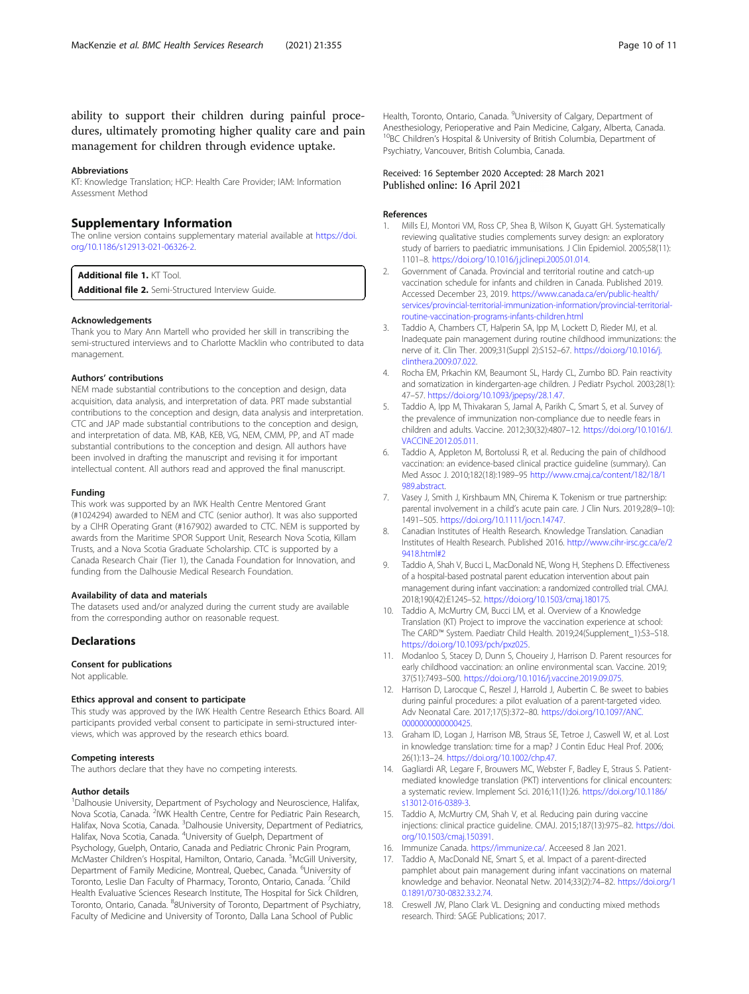<span id="page-9-0"></span>ability to support their children during painful procedures, ultimately promoting higher quality care and pain management for children through evidence uptake.

#### Abbreviations

KT: Knowledge Translation; HCP: Health Care Provider; IAM: Information Assessment Method

### Supplementary Information

The online version contains supplementary material available at [https://doi.](https://doi.org/10.1186/s12913-021-06326-2) [org/10.1186/s12913-021-06326-2.](https://doi.org/10.1186/s12913-021-06326-2)

Additional file 1. KT Tool.

Additional file 2. Semi-Structured Interview Guide.

#### Acknowledgements

Thank you to Mary Ann Martell who provided her skill in transcribing the semi-structured interviews and to Charlotte Macklin who contributed to data management.

#### Authors' contributions

NEM made substantial contributions to the conception and design, data acquisition, data analysis, and interpretation of data. PRT made substantial contributions to the conception and design, data analysis and interpretation. CTC and JAP made substantial contributions to the conception and design, and interpretation of data. MB, KAB, KEB, VG, NEM, CMM, PP, and AT made substantial contributions to the conception and design. All authors have been involved in drafting the manuscript and revising it for important intellectual content. All authors read and approved the final manuscript.

#### Funding

This work was supported by an IWK Health Centre Mentored Grant (#1024294) awarded to NEM and CTC (senior author). It was also supported by a CIHR Operating Grant (#167902) awarded to CTC. NEM is supported by awards from the Maritime SPOR Support Unit, Research Nova Scotia, Killam Trusts, and a Nova Scotia Graduate Scholarship. CTC is supported by a Canada Research Chair (Tier 1), the Canada Foundation for Innovation, and funding from the Dalhousie Medical Research Foundation.

#### Availability of data and materials

The datasets used and/or analyzed during the current study are available from the corresponding author on reasonable request.

#### **Declarations**

Consent for publications

Not applicable.

#### Ethics approval and consent to participate

This study was approved by the IWK Health Centre Research Ethics Board. All participants provided verbal consent to participate in semi-structured interviews, which was approved by the research ethics board.

#### Competing interests

The authors declare that they have no competing interests.

#### Author details

<sup>1</sup>Dalhousie University, Department of Psychology and Neuroscience, Halifax, Nova Scotia, Canada. <sup>2</sup>IWK Health Centre, Centre for Pediatric Pain Research, Halifax, Nova Scotia, Canada. <sup>3</sup>Dalhousie University, Department of Pediatrics, Halifax, Nova Scotia, Canada. <sup>4</sup>University of Guelph, Department of Psychology, Guelph, Ontario, Canada and Pediatric Chronic Pain Program, McMaster Children's Hospital, Hamilton, Ontario, Canada. <sup>5</sup>McGill University, Department of Family Medicine, Montreal, Quebec, Canada. <sup>6</sup>University of Toronto, Leslie Dan Faculty of Pharmacy, Toronto, Ontario, Canada. <sup>7</sup>Child Health Evaluative Sciences Research Institute, The Hospital for Sick Children, Toronto, Ontario, Canada. <sup>8</sup>8University of Toronto, Department of Psychiatry, Faculty of Medicine and University of Toronto, Dalla Lana School of Public

Health, Toronto, Ontario, Canada. <sup>9</sup>University of Calgary, Department of Anesthesiology, Perioperative and Pain Medicine, Calgary, Alberta, Canada. <sup>10</sup>BC Children's Hospital & University of British Columbia, Department of Psychiatry, Vancouver, British Columbia, Canada.

### Received: 16 September 2020 Accepted: 28 March 2021 Published online: 16 April 2021

#### References

- 1. Mills EJ, Montori VM, Ross CP, Shea B, Wilson K, Guyatt GH. Systematically reviewing qualitative studies complements survey design: an exploratory study of barriers to paediatric immunisations. J Clin Epidemiol. 2005;58(11): 1101–8. [https://doi.org/10.1016/j.jclinepi.2005.01.014.](https://doi.org/10.1016/j.jclinepi.2005.01.014)
- 2. Government of Canada. Provincial and territorial routine and catch-up vaccination schedule for infants and children in Canada. Published 2019. Accessed December 23, 2019. [https://www.canada.ca/en/public-health/](https://www.canada.ca/en/public-health/services/provincial-territorial-immunization-information/provincial-territorial-routine-vaccination-programs-infants-children.html) [services/provincial-territorial-immunization-information/provincial-territorial](https://www.canada.ca/en/public-health/services/provincial-territorial-immunization-information/provincial-territorial-routine-vaccination-programs-infants-children.html)[routine-vaccination-programs-infants-children.html](https://www.canada.ca/en/public-health/services/provincial-territorial-immunization-information/provincial-territorial-routine-vaccination-programs-infants-children.html)
- 3. Taddio A, Chambers CT, Halperin SA, Ipp M, Lockett D, Rieder MJ, et al. Inadequate pain management during routine childhood immunizations: the nerve of it. Clin Ther. 2009;31(Suppl 2):S152–67. [https://doi.org/10.1016/j.](https://doi.org/10.1016/j.clinthera.2009.07.022) [clinthera.2009.07.022](https://doi.org/10.1016/j.clinthera.2009.07.022).
- 4. Rocha EM, Prkachin KM, Beaumont SL, Hardy CL, Zumbo BD. Pain reactivity and somatization in kindergarten-age children. J Pediatr Psychol. 2003;28(1): 47–57. [https://doi.org/10.1093/jpepsy/28.1.47.](https://doi.org/10.1093/jpepsy/28.1.47)
- 5. Taddio A, Ipp M, Thivakaran S, Jamal A, Parikh C, Smart S, et al. Survey of the prevalence of immunization non-compliance due to needle fears in children and adults. Vaccine. 2012;30(32):4807–12. [https://doi.org/10.1016/J.](https://doi.org/10.1016/J.VACCINE.2012.05.011) [VACCINE.2012.05.011.](https://doi.org/10.1016/J.VACCINE.2012.05.011)
- 6. Taddio A, Appleton M, Bortolussi R, et al. Reducing the pain of childhood vaccination: an evidence-based clinical practice guideline (summary). Can Med Assoc J. 2010;182(18):1989–95 [http://www.cmaj.ca/content/182/18/1](http://www.cmaj.ca/content/182/18/1989.abstract) [989.abstract](http://www.cmaj.ca/content/182/18/1989.abstract).
- 7. Vasey J, Smith J, Kirshbaum MN, Chirema K. Tokenism or true partnership: parental involvement in a child's acute pain care. J Clin Nurs. 2019;28(9–10): 1491–505. <https://doi.org/10.1111/jocn.14747>.
- 8. Canadian Institutes of Health Research. Knowledge Translation. Canadian Institutes of Health Research. Published 2016. [http://www.cihr-irsc.gc.ca/e/2](http://www.cihr-irsc.gc.ca/e/29418.html#2) [9418.html#2](http://www.cihr-irsc.gc.ca/e/29418.html#2)
- 9. Taddio A, Shah V, Bucci L, MacDonald NE, Wong H, Stephens D. Effectiveness of a hospital-based postnatal parent education intervention about pain management during infant vaccination: a randomized controlled trial. CMAJ. 2018;190(42):E1245–52. <https://doi.org/10.1503/cmaj.180175>.
- 10. Taddio A, McMurtry CM, Bucci LM, et al. Overview of a Knowledge Translation (KT) Project to improve the vaccination experience at school: The CARD™ System. Paediatr Child Health. 2019;24(Supplement\_1):S3–S18. <https://doi.org/10.1093/pch/pxz025>.
- 11. Modanloo S, Stacey D, Dunn S, Choueiry J, Harrison D. Parent resources for early childhood vaccination: an online environmental scan. Vaccine. 2019; 37(51):7493–500. <https://doi.org/10.1016/j.vaccine.2019.09.075>.
- 12. Harrison D, Larocque C, Reszel J, Harrold J, Aubertin C. Be sweet to babies during painful procedures: a pilot evaluation of a parent-targeted video. Adv Neonatal Care. 2017;17(5):372–80. [https://doi.org/10.1097/ANC.](https://doi.org/10.1097/ANC.0000000000000425) [0000000000000425](https://doi.org/10.1097/ANC.0000000000000425).
- 13. Graham ID, Logan J, Harrison MB, Straus SE, Tetroe J, Caswell W, et al. Lost in knowledge translation: time for a map? J Contin Educ Heal Prof. 2006; 26(1):13–24. <https://doi.org/10.1002/chp.47>.
- 14. Gagliardi AR, Legare F, Brouwers MC, Webster F, Badley E, Straus S. Patientmediated knowledge translation (PKT) interventions for clinical encounters: a systematic review. Implement Sci. 2016;11(1):26. [https://doi.org/10.1186/](https://doi.org/10.1186/s13012-016-0389-3) [s13012-016-0389-3.](https://doi.org/10.1186/s13012-016-0389-3)
- 15. Taddio A, McMurtry CM, Shah V, et al. Reducing pain during vaccine injections: clinical practice guideline. CMAJ. 2015;187(13):975–82. [https://doi.](https://doi.org/10.1503/cmaj.150391) [org/10.1503/cmaj.150391](https://doi.org/10.1503/cmaj.150391).
- 16. Immunize Canada. <https://immunize.ca/>. Acceesed 8 Jan 2021.
- 17. Taddio A, MacDonald NE, Smart S, et al. Impact of a parent-directed pamphlet about pain management during infant vaccinations on maternal knowledge and behavior. Neonatal Netw. 2014;33(2):74–82. [https://doi.org/1](https://doi.org/10.1891/0730-0832.33.2.74) [0.1891/0730-0832.33.2.74](https://doi.org/10.1891/0730-0832.33.2.74).
- 18. Creswell JW, Plano Clark VL. Designing and conducting mixed methods research. Third: SAGE Publications; 2017.